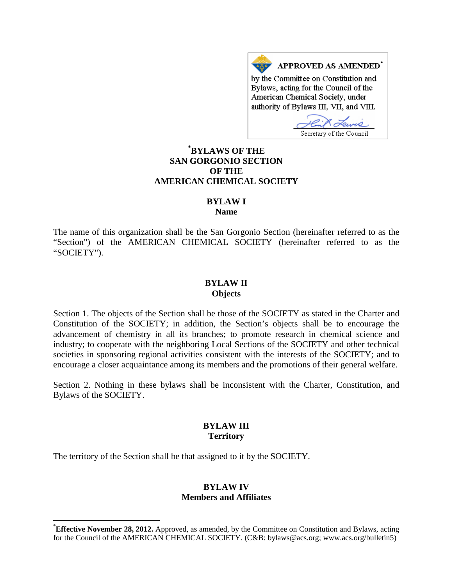APPROVED AS AMENDED<sup>\*</sup> by the Committee on Constitution and Bylaws, acting for the Council of the American Chemical Society, under authority of Bylaws III, VII, and VIII.

Secretary of the Council

# **[\\*](#page-0-0) BYLAWS OF THE SAN GORGONIO SECTION OF THE AMERICAN CHEMICAL SOCIETY**

# **BYLAW I**

**Name**

The name of this organization shall be the San Gorgonio Section (hereinafter referred to as the "Section") of the AMERICAN CHEMICAL SOCIETY (hereinafter referred to as the "SOCIETY").

#### **BYLAW II Objects**

Section 1. The objects of the Section shall be those of the SOCIETY as stated in the Charter and Constitution of the SOCIETY; in addition, the Section's objects shall be to encourage the advancement of chemistry in all its branches; to promote research in chemical science and industry; to cooperate with the neighboring Local Sections of the SOCIETY and other technical societies in sponsoring regional activities consistent with the interests of the SOCIETY; and to encourage a closer acquaintance among its members and the promotions of their general welfare.

Section 2. Nothing in these bylaws shall be inconsistent with the Charter, Constitution, and Bylaws of the SOCIETY.

# **BYLAW III Territory**

The territory of the Section shall be that assigned to it by the SOCIETY.

#### **BYLAW IV Members and Affiliates**

<span id="page-0-0"></span> <sup>\*</sup> **Effective November 28, 2012.** Approved, as amended, by the Committee on Constitution and Bylaws, acting for the Council of the AMERICAN CHEMICAL SOCIETY. (C&B: bylaws@acs.org; www.acs.org/bulletin5)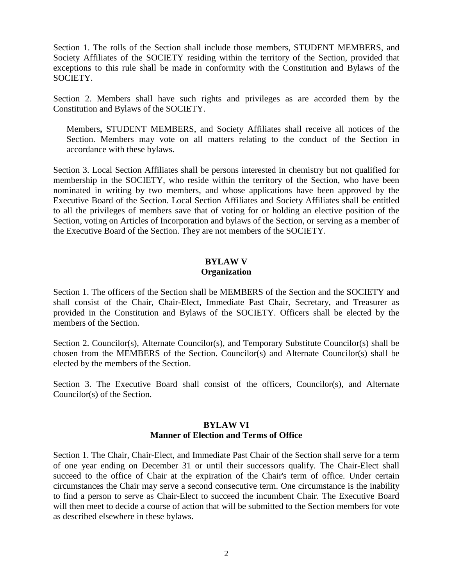Section 1. The rolls of the Section shall include those members, STUDENT MEMBERS, and Society Affiliates of the SOCIETY residing within the territory of the Section, provided that exceptions to this rule shall be made in conformity with the Constitution and Bylaws of the SOCIETY.

Section 2. Members shall have such rights and privileges as are accorded them by the Constitution and Bylaws of the SOCIETY.

Members**,** STUDENT MEMBERS, and Society Affiliates shall receive all notices of the Section. Members may vote on all matters relating to the conduct of the Section in accordance with these bylaws.

Section 3. Local Section Affiliates shall be persons interested in chemistry but not qualified for membership in the SOCIETY, who reside within the territory of the Section, who have been nominated in writing by two members, and whose applications have been approved by the Executive Board of the Section. Local Section Affiliates and Society Affiliates shall be entitled to all the privileges of members save that of voting for or holding an elective position of the Section, voting on Articles of Incorporation and bylaws of the Section, or serving as a member of the Executive Board of the Section. They are not members of the SOCIETY.

### **BYLAW V Organization**

Section 1. The officers of the Section shall be MEMBERS of the Section and the SOCIETY and shall consist of the Chair, Chair-Elect, Immediate Past Chair, Secretary, and Treasurer as provided in the Constitution and Bylaws of the SOCIETY. Officers shall be elected by the members of the Section.

Section 2. Councilor(s), Alternate Councilor(s), and Temporary Substitute Councilor(s) shall be chosen from the MEMBERS of the Section. Councilor(s) and Alternate Councilor(s) shall be elected by the members of the Section.

Section 3. The Executive Board shall consist of the officers, Councilor(s), and Alternate Councilor(s) of the Section.

# **BYLAW VI Manner of Election and Terms of Office**

Section 1. The Chair, Chair-Elect, and Immediate Past Chair of the Section shall serve for a term of one year ending on December 31 or until their successors qualify. The Chair-Elect shall succeed to the office of Chair at the expiration of the Chair's term of office. Under certain circumstances the Chair may serve a second consecutive term. One circumstance is the inability to find a person to serve as Chair-Elect to succeed the incumbent Chair. The Executive Board will then meet to decide a course of action that will be submitted to the Section members for vote as described elsewhere in these bylaws.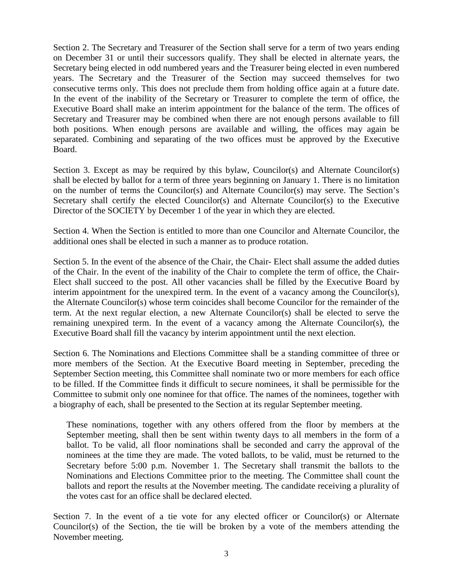Section 2. The Secretary and Treasurer of the Section shall serve for a term of two years ending on December 31 or until their successors qualify. They shall be elected in alternate years, the Secretary being elected in odd numbered years and the Treasurer being elected in even numbered years. The Secretary and the Treasurer of the Section may succeed themselves for two consecutive terms only. This does not preclude them from holding office again at a future date. In the event of the inability of the Secretary or Treasurer to complete the term of office, the Executive Board shall make an interim appointment for the balance of the term. The offices of Secretary and Treasurer may be combined when there are not enough persons available to fill both positions. When enough persons are available and willing, the offices may again be separated. Combining and separating of the two offices must be approved by the Executive Board.

Section 3. Except as may be required by this bylaw, Councilor(s) and Alternate Councilor(s) shall be elected by ballot for a term of three years beginning on January 1. There is no limitation on the number of terms the Councilor(s) and Alternate Councilor(s) may serve. The Section's Secretary shall certify the elected Councilor(s) and Alternate Councilor(s) to the Executive Director of the SOCIETY by December 1 of the year in which they are elected.

Section 4. When the Section is entitled to more than one Councilor and Alternate Councilor, the additional ones shall be elected in such a manner as to produce rotation.

Section 5. In the event of the absence of the Chair, the Chair- Elect shall assume the added duties of the Chair. In the event of the inability of the Chair to complete the term of office, the Chair-Elect shall succeed to the post. All other vacancies shall be filled by the Executive Board by interim appointment for the unexpired term. In the event of a vacancy among the Councilor(s), the Alternate Councilor(s) whose term coincides shall become Councilor for the remainder of the term. At the next regular election, a new Alternate Councilor(s) shall be elected to serve the remaining unexpired term. In the event of a vacancy among the Alternate Councilor(s), the Executive Board shall fill the vacancy by interim appointment until the next election.

Section 6. The Nominations and Elections Committee shall be a standing committee of three or more members of the Section. At the Executive Board meeting in September, preceding the September Section meeting, this Committee shall nominate two or more members for each office to be filled. If the Committee finds it difficult to secure nominees, it shall be permissible for the Committee to submit only one nominee for that office. The names of the nominees, together with a biography of each, shall be presented to the Section at its regular September meeting.

These nominations, together with any others offered from the floor by members at the September meeting, shall then be sent within twenty days to all members in the form of a ballot. To be valid, all floor nominations shall be seconded and carry the approval of the nominees at the time they are made. The voted ballots, to be valid, must be returned to the Secretary before 5:00 p.m. November 1. The Secretary shall transmit the ballots to the Nominations and Elections Committee prior to the meeting. The Committee shall count the ballots and report the results at the November meeting. The candidate receiving a plurality of the votes cast for an office shall be declared elected.

Section 7. In the event of a tie vote for any elected officer or Councilor(s) or Alternate Councilor(s) of the Section, the tie will be broken by a vote of the members attending the November meeting.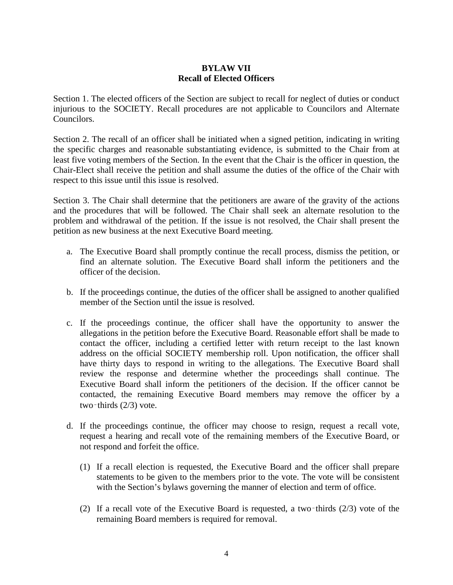# **BYLAW VII Recall of Elected Officers**

Section 1. The elected officers of the Section are subject to recall for neglect of duties or conduct injurious to the SOCIETY. Recall procedures are not applicable to Councilors and Alternate Councilors.

Section 2. The recall of an officer shall be initiated when a signed petition, indicating in writing the specific charges and reasonable substantiating evidence, is submitted to the Chair from at least five voting members of the Section. In the event that the Chair is the officer in question, the Chair-Elect shall receive the petition and shall assume the duties of the office of the Chair with respect to this issue until this issue is resolved.

Section 3. The Chair shall determine that the petitioners are aware of the gravity of the actions and the procedures that will be followed. The Chair shall seek an alternate resolution to the problem and withdrawal of the petition. If the issue is not resolved, the Chair shall present the petition as new business at the next Executive Board meeting.

- a. The Executive Board shall promptly continue the recall process, dismiss the petition, or find an alternate solution. The Executive Board shall inform the petitioners and the officer of the decision.
- b. If the proceedings continue, the duties of the officer shall be assigned to another qualified member of the Section until the issue is resolved.
- c. If the proceedings continue, the officer shall have the opportunity to answer the allegations in the petition before the Executive Board. Reasonable effort shall be made to contact the officer, including a certified letter with return receipt to the last known address on the official SOCIETY membership roll. Upon notification, the officer shall have thirty days to respond in writing to the allegations. The Executive Board shall review the response and determine whether the proceedings shall continue. The Executive Board shall inform the petitioners of the decision. If the officer cannot be contacted, the remaining Executive Board members may remove the officer by a two-thirds  $(2/3)$  vote.
- d. If the proceedings continue, the officer may choose to resign, request a recall vote, request a hearing and recall vote of the remaining members of the Executive Board, or not respond and forfeit the office.
	- (1) If a recall election is requested, the Executive Board and the officer shall prepare statements to be given to the members prior to the vote. The vote will be consistent with the Section's bylaws governing the manner of election and term of office.
	- (2) If a recall vote of the Executive Board is requested, a two–thirds  $(2/3)$  vote of the remaining Board members is required for removal.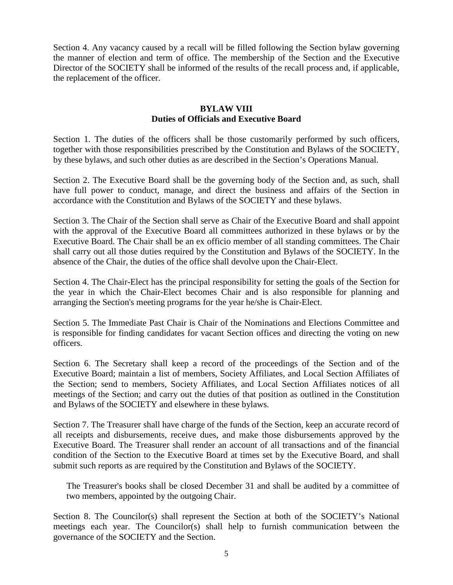Section 4. Any vacancy caused by a recall will be filled following the Section bylaw governing the manner of election and term of office. The membership of the Section and the Executive Director of the SOCIETY shall be informed of the results of the recall process and, if applicable, the replacement of the officer.

### **BYLAW VIII Duties of Officials and Executive Board**

Section 1. The duties of the officers shall be those customarily performed by such officers, together with those responsibilities prescribed by the Constitution and Bylaws of the SOCIETY, by these bylaws, and such other duties as are described in the Section's Operations Manual.

Section 2. The Executive Board shall be the governing body of the Section and, as such, shall have full power to conduct, manage, and direct the business and affairs of the Section in accordance with the Constitution and Bylaws of the SOCIETY and these bylaws.

Section 3. The Chair of the Section shall serve as Chair of the Executive Board and shall appoint with the approval of the Executive Board all committees authorized in these bylaws or by the Executive Board. The Chair shall be an ex officio member of all standing committees. The Chair shall carry out all those duties required by the Constitution and Bylaws of the SOCIETY. In the absence of the Chair, the duties of the office shall devolve upon the Chair-Elect.

Section 4. The Chair-Elect has the principal responsibility for setting the goals of the Section for the year in which the Chair-Elect becomes Chair and is also responsible for planning and arranging the Section's meeting programs for the year he/she is Chair-Elect.

Section 5. The Immediate Past Chair is Chair of the Nominations and Elections Committee and is responsible for finding candidates for vacant Section offices and directing the voting on new officers.

Section 6. The Secretary shall keep a record of the proceedings of the Section and of the Executive Board; maintain a list of members, Society Affiliates, and Local Section Affiliates of the Section; send to members, Society Affiliates, and Local Section Affiliates notices of all meetings of the Section; and carry out the duties of that position as outlined in the Constitution and Bylaws of the SOCIETY and elsewhere in these bylaws.

Section 7. The Treasurer shall have charge of the funds of the Section, keep an accurate record of all receipts and disbursements, receive dues, and make those disbursements approved by the Executive Board. The Treasurer shall render an account of all transactions and of the financial condition of the Section to the Executive Board at times set by the Executive Board, and shall submit such reports as are required by the Constitution and Bylaws of the SOCIETY.

The Treasurer's books shall be closed December 31 and shall be audited by a committee of two members, appointed by the outgoing Chair.

Section 8. The Councilor(s) shall represent the Section at both of the SOCIETY's National meetings each year. The Councilor(s) shall help to furnish communication between the governance of the SOCIETY and the Section.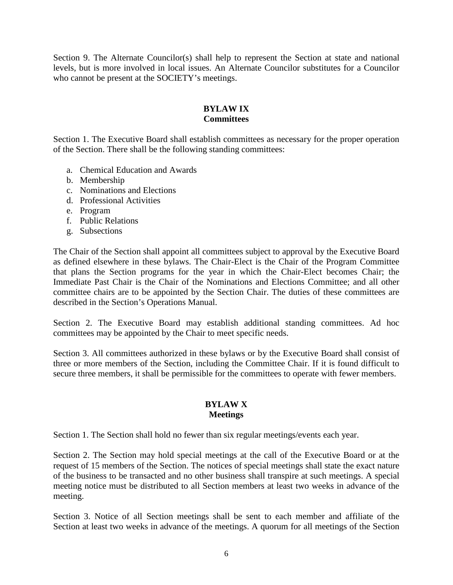Section 9. The Alternate Councilor(s) shall help to represent the Section at state and national levels, but is more involved in local issues. An Alternate Councilor substitutes for a Councilor who cannot be present at the SOCIETY's meetings.

# **BYLAW IX Committees**

Section 1. The Executive Board shall establish committees as necessary for the proper operation of the Section. There shall be the following standing committees:

- a. Chemical Education and Awards
- b. Membership
- c. Nominations and Elections
- d. Professional Activities
- e. Program
- f. Public Relations
- g. Subsections

The Chair of the Section shall appoint all committees subject to approval by the Executive Board as defined elsewhere in these bylaws. The Chair-Elect is the Chair of the Program Committee that plans the Section programs for the year in which the Chair-Elect becomes Chair; the Immediate Past Chair is the Chair of the Nominations and Elections Committee; and all other committee chairs are to be appointed by the Section Chair. The duties of these committees are described in the Section's Operations Manual.

Section 2. The Executive Board may establish additional standing committees. Ad hoc committees may be appointed by the Chair to meet specific needs.

Section 3. All committees authorized in these bylaws or by the Executive Board shall consist of three or more members of the Section, including the Committee Chair. If it is found difficult to secure three members, it shall be permissible for the committees to operate with fewer members.

# **BYLAW X Meetings**

Section 1. The Section shall hold no fewer than six regular meetings/events each year.

Section 2. The Section may hold special meetings at the call of the Executive Board or at the request of 15 members of the Section. The notices of special meetings shall state the exact nature of the business to be transacted and no other business shall transpire at such meetings. A special meeting notice must be distributed to all Section members at least two weeks in advance of the meeting.

Section 3. Notice of all Section meetings shall be sent to each member and affiliate of the Section at least two weeks in advance of the meetings. A quorum for all meetings of the Section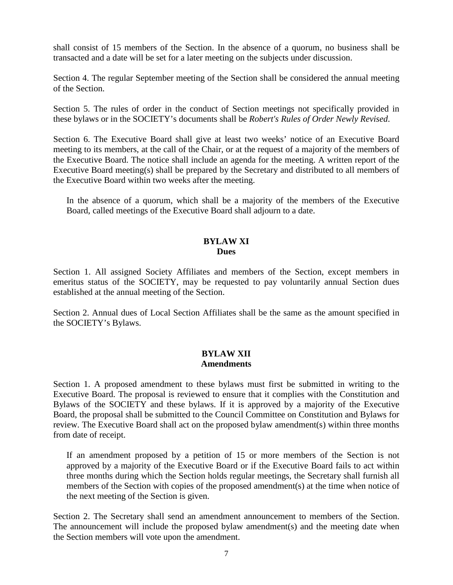shall consist of 15 members of the Section. In the absence of a quorum, no business shall be transacted and a date will be set for a later meeting on the subjects under discussion.

Section 4. The regular September meeting of the Section shall be considered the annual meeting of the Section.

Section 5. The rules of order in the conduct of Section meetings not specifically provided in these bylaws or in the SOCIETY's documents shall be *Robert's Rules of Order Newly Revised*.

Section 6. The Executive Board shall give at least two weeks' notice of an Executive Board meeting to its members, at the call of the Chair, or at the request of a majority of the members of the Executive Board. The notice shall include an agenda for the meeting. A written report of the Executive Board meeting(s) shall be prepared by the Secretary and distributed to all members of the Executive Board within two weeks after the meeting.

In the absence of a quorum, which shall be a majority of the members of the Executive Board, called meetings of the Executive Board shall adjourn to a date.

### **BYLAW XI Dues**

Section 1. All assigned Society Affiliates and members of the Section, except members in emeritus status of the SOCIETY, may be requested to pay voluntarily annual Section dues established at the annual meeting of the Section.

Section 2. Annual dues of Local Section Affiliates shall be the same as the amount specified in the SOCIETY's Bylaws.

# **BYLAW XII Amendments**

Section 1. A proposed amendment to these bylaws must first be submitted in writing to the Executive Board. The proposal is reviewed to ensure that it complies with the Constitution and Bylaws of the SOCIETY and these bylaws. If it is approved by a majority of the Executive Board, the proposal shall be submitted to the Council Committee on Constitution and Bylaws for review. The Executive Board shall act on the proposed bylaw amendment(s) within three months from date of receipt.

If an amendment proposed by a petition of 15 or more members of the Section is not approved by a majority of the Executive Board or if the Executive Board fails to act within three months during which the Section holds regular meetings, the Secretary shall furnish all members of the Section with copies of the proposed amendment(s) at the time when notice of the next meeting of the Section is given.

Section 2. The Secretary shall send an amendment announcement to members of the Section. The announcement will include the proposed bylaw amendment(s) and the meeting date when the Section members will vote upon the amendment.